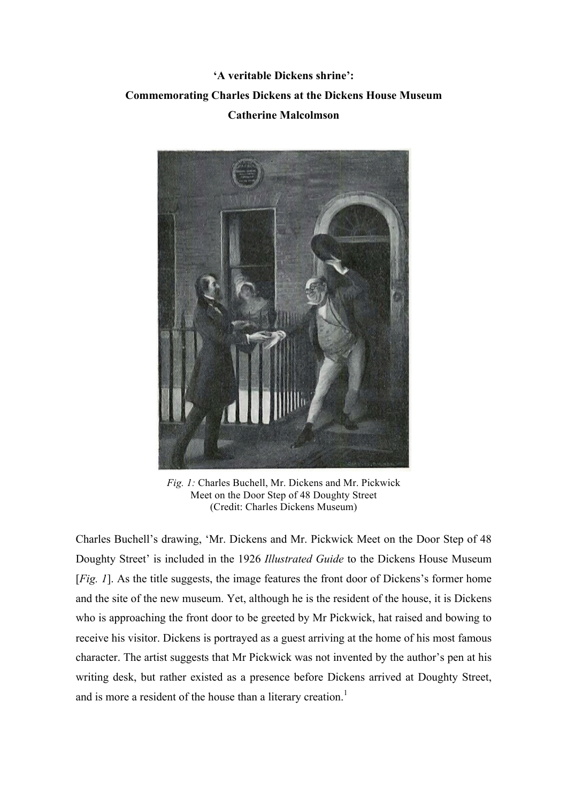## **'A veritable Dickens shrine': Commemorating Charles Dickens at the Dickens House Museum Catherine Malcolmson**



*Fig. 1:* Charles Buchell, Mr. Dickens and Mr. Pickwick Meet on the Door Step of 48 Doughty Street (Credit: Charles Dickens Museum)

Charles Buchell's drawing, 'Mr. Dickens and Mr. Pickwick Meet on the Door Step of 48 Doughty Street' is included in the 1926 *Illustrated Guide* to the Dickens House Museum [*Fig. 1*]. As the title suggests, the image features the front door of Dickens's former home and the site of the new museum. Yet, although he is the resident of the house, it is Dickens who is approaching the front door to be greeted by Mr Pickwick, hat raised and bowing to receive his visitor. Dickens is portrayed as a guest arriving at the home of his most famous character. The artist suggests that Mr Pickwick was not invented by the author's pen at his writing desk, but rather existed as a presence before Dickens arrived at Doughty Street, and is more a resident of the house than a literary creation.<sup>1</sup>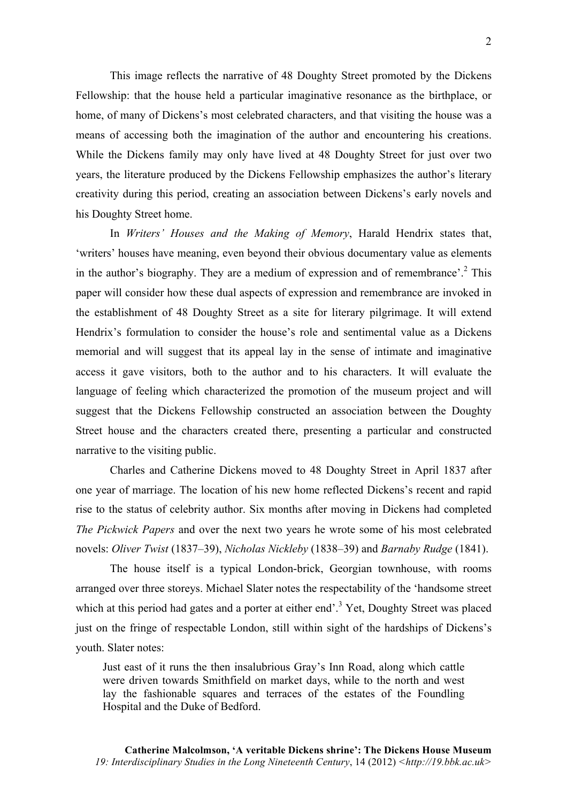This image reflects the narrative of 48 Doughty Street promoted by the Dickens Fellowship: that the house held a particular imaginative resonance as the birthplace, or home, of many of Dickens's most celebrated characters, and that visiting the house was a means of accessing both the imagination of the author and encountering his creations. While the Dickens family may only have lived at 48 Doughty Street for just over two years, the literature produced by the Dickens Fellowship emphasizes the author's literary creativity during this period, creating an association between Dickens's early novels and his Doughty Street home.

In *Writers' Houses and the Making of Memory*, Harald Hendrix states that, 'writers' houses have meaning, even beyond their obvious documentary value as elements in the author's biography. They are a medium of expression and of remembrance'.<sup>2</sup> This paper will consider how these dual aspects of expression and remembrance are invoked in the establishment of 48 Doughty Street as a site for literary pilgrimage. It will extend Hendrix's formulation to consider the house's role and sentimental value as a Dickens memorial and will suggest that its appeal lay in the sense of intimate and imaginative access it gave visitors, both to the author and to his characters. It will evaluate the language of feeling which characterized the promotion of the museum project and will suggest that the Dickens Fellowship constructed an association between the Doughty Street house and the characters created there, presenting a particular and constructed narrative to the visiting public.

Charles and Catherine Dickens moved to 48 Doughty Street in April 1837 after one year of marriage. The location of his new home reflected Dickens's recent and rapid rise to the status of celebrity author. Six months after moving in Dickens had completed *The Pickwick Papers* and over the next two years he wrote some of his most celebrated novels: *Oliver Twist* (1837–39), *Nicholas Nickleby* (1838–39) and *Barnaby Rudge* (1841).

The house itself is a typical London-brick, Georgian townhouse, with rooms arranged over three storeys. Michael Slater notes the respectability of the 'handsome street which at this period had gates and a porter at either end'.<sup>3</sup> Yet, Doughty Street was placed just on the fringe of respectable London, still within sight of the hardships of Dickens's youth. Slater notes:

Just east of it runs the then insalubrious Gray's Inn Road, along which cattle were driven towards Smithfield on market days, while to the north and west lay the fashionable squares and terraces of the estates of the Foundling Hospital and the Duke of Bedford.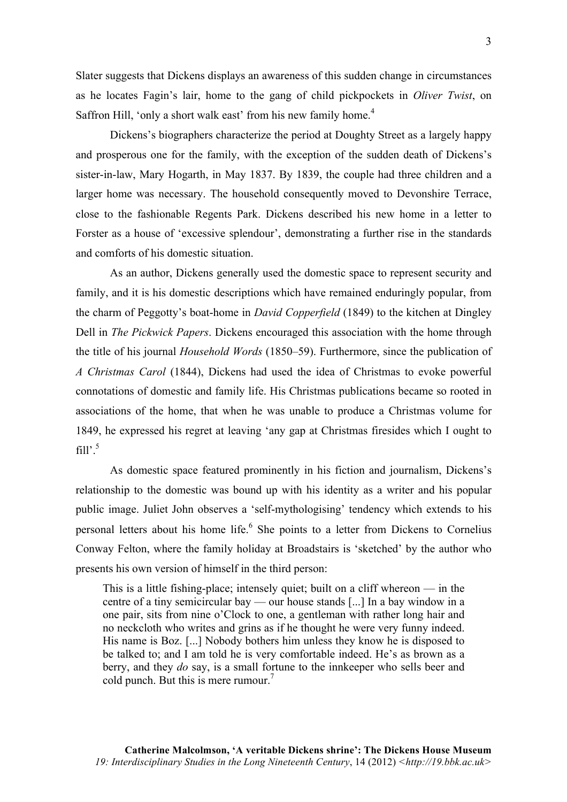Slater suggests that Dickens displays an awareness of this sudden change in circumstances as he locates Fagin's lair, home to the gang of child pickpockets in *Oliver Twist*, on Saffron Hill, 'only a short walk east' from his new family home.<sup>4</sup>

Dickens's biographers characterize the period at Doughty Street as a largely happy and prosperous one for the family, with the exception of the sudden death of Dickens's sister-in-law, Mary Hogarth, in May 1837. By 1839, the couple had three children and a larger home was necessary. The household consequently moved to Devonshire Terrace, close to the fashionable Regents Park. Dickens described his new home in a letter to Forster as a house of 'excessive splendour', demonstrating a further rise in the standards and comforts of his domestic situation.

As an author, Dickens generally used the domestic space to represent security and family, and it is his domestic descriptions which have remained enduringly popular, from the charm of Peggotty's boat-home in *David Copperfield* (1849) to the kitchen at Dingley Dell in *The Pickwick Papers*. Dickens encouraged this association with the home through the title of his journal *Household Words* (1850–59). Furthermore, since the publication of *A Christmas Carol* (1844), Dickens had used the idea of Christmas to evoke powerful connotations of domestic and family life. His Christmas publications became so rooted in associations of the home, that when he was unable to produce a Christmas volume for 1849, he expressed his regret at leaving 'any gap at Christmas firesides which I ought to fill' $5$ 

As domestic space featured prominently in his fiction and journalism, Dickens's relationship to the domestic was bound up with his identity as a writer and his popular public image. Juliet John observes a 'self-mythologising' tendency which extends to his personal letters about his home life.<sup>6</sup> She points to a letter from Dickens to Cornelius Conway Felton, where the family holiday at Broadstairs is 'sketched' by the author who presents his own version of himself in the third person:

This is a little fishing-place; intensely quiet; built on a cliff whereon — in the centre of a tiny semicircular bay — our house stands [...] In a bay window in a one pair, sits from nine o'Clock to one, a gentleman with rather long hair and no neckcloth who writes and grins as if he thought he were very funny indeed. His name is Boz. [...] Nobody bothers him unless they know he is disposed to be talked to; and I am told he is very comfortable indeed. He's as brown as a berry, and they *do* say, is a small fortune to the innkeeper who sells beer and cold punch. But this is mere rumour.<sup>7</sup>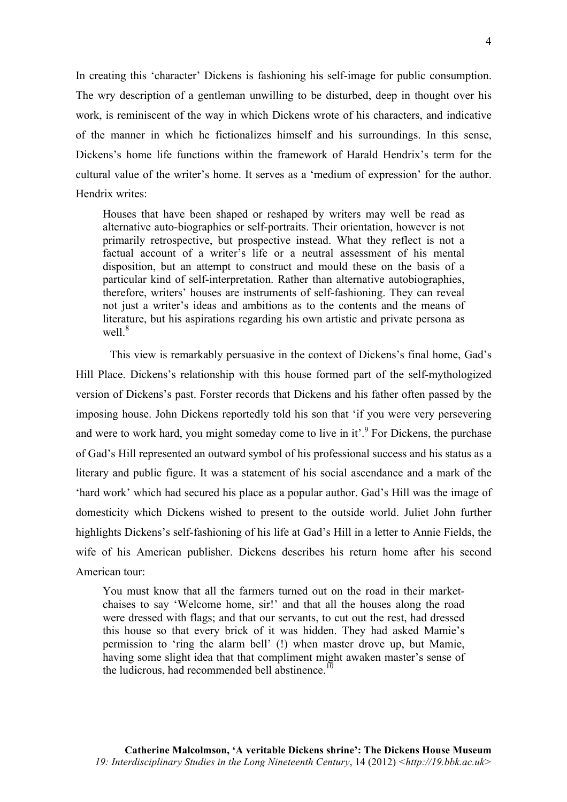In creating this 'character' Dickens is fashioning his self-image for public consumption. The wry description of a gentleman unwilling to be disturbed, deep in thought over his work, is reminiscent of the way in which Dickens wrote of his characters, and indicative of the manner in which he fictionalizes himself and his surroundings. In this sense, Dickens's home life functions within the framework of Harald Hendrix's term for the cultural value of the writer's home. It serves as a 'medium of expression' for the author. Hendrix writes:

Houses that have been shaped or reshaped by writers may well be read as alternative auto-biographies or self-portraits. Their orientation, however is not primarily retrospective, but prospective instead. What they reflect is not a factual account of a writer's life or a neutral assessment of his mental disposition, but an attempt to construct and mould these on the basis of a particular kind of self-interpretation. Rather than alternative autobiographies, therefore, writers' houses are instruments of self-fashioning. They can reveal not just a writer's ideas and ambitions as to the contents and the means of literature, but his aspirations regarding his own artistic and private persona as well $8$ 

This view is remarkably persuasive in the context of Dickens's final home, Gad's Hill Place. Dickens's relationship with this house formed part of the self-mythologized version of Dickens's past. Forster records that Dickens and his father often passed by the imposing house. John Dickens reportedly told his son that 'if you were very persevering and were to work hard, you might someday come to live in it'.<sup>9</sup> For Dickens, the purchase of Gad's Hill represented an outward symbol of his professional success and his status as a literary and public figure. It was a statement of his social ascendance and a mark of the 'hard work' which had secured his place as a popular author. Gad's Hill was the image of domesticity which Dickens wished to present to the outside world. Juliet John further highlights Dickens's self-fashioning of his life at Gad's Hill in a letter to Annie Fields, the wife of his American publisher. Dickens describes his return home after his second American tour:

You must know that all the farmers turned out on the road in their marketchaises to say 'Welcome home, sir!' and that all the houses along the road were dressed with flags; and that our servants, to cut out the rest, had dressed this house so that every brick of it was hidden. They had asked Mamie's permission to 'ring the alarm bell' (!) when master drove up, but Mamie, having some slight idea that that compliment might awaken master's sense of the ludicrous, had recommended bell abstinence.<sup>10</sup>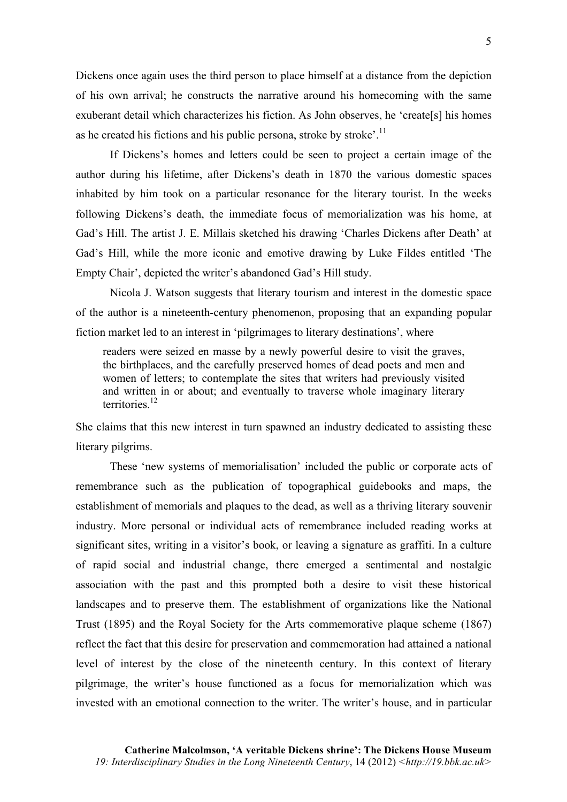Dickens once again uses the third person to place himself at a distance from the depiction of his own arrival; he constructs the narrative around his homecoming with the same exuberant detail which characterizes his fiction. As John observes, he 'create[s] his homes as he created his fictions and his public persona, stroke by stroke'.<sup>11</sup>

If Dickens's homes and letters could be seen to project a certain image of the author during his lifetime, after Dickens's death in 1870 the various domestic spaces inhabited by him took on a particular resonance for the literary tourist. In the weeks following Dickens's death, the immediate focus of memorialization was his home, at Gad's Hill. The artist J. E. Millais sketched his drawing 'Charles Dickens after Death' at Gad's Hill, while the more iconic and emotive drawing by Luke Fildes entitled 'The Empty Chair', depicted the writer's abandoned Gad's Hill study.

Nicola J. Watson suggests that literary tourism and interest in the domestic space of the author is a nineteenth-century phenomenon, proposing that an expanding popular fiction market led to an interest in 'pilgrimages to literary destinations', where

readers were seized en masse by a newly powerful desire to visit the graves, the birthplaces, and the carefully preserved homes of dead poets and men and women of letters; to contemplate the sites that writers had previously visited and written in or about; and eventually to traverse whole imaginary literary territories<sup>12</sup>

She claims that this new interest in turn spawned an industry dedicated to assisting these literary pilgrims.

These 'new systems of memorialisation' included the public or corporate acts of remembrance such as the publication of topographical guidebooks and maps, the establishment of memorials and plaques to the dead, as well as a thriving literary souvenir industry. More personal or individual acts of remembrance included reading works at significant sites, writing in a visitor's book, or leaving a signature as graffiti. In a culture of rapid social and industrial change, there emerged a sentimental and nostalgic association with the past and this prompted both a desire to visit these historical landscapes and to preserve them. The establishment of organizations like the National Trust (1895) and the Royal Society for the Arts commemorative plaque scheme (1867) reflect the fact that this desire for preservation and commemoration had attained a national level of interest by the close of the nineteenth century. In this context of literary pilgrimage, the writer's house functioned as a focus for memorialization which was invested with an emotional connection to the writer. The writer's house, and in particular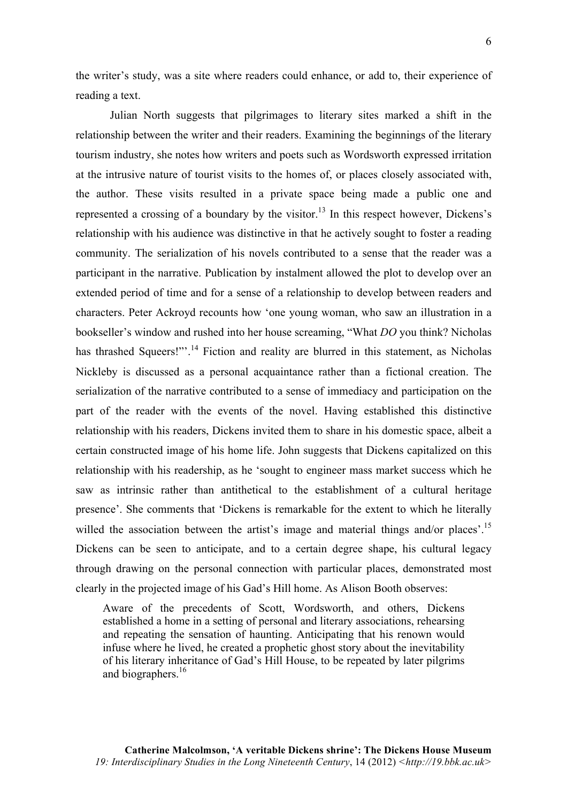the writer's study, was a site where readers could enhance, or add to, their experience of reading a text.

Julian North suggests that pilgrimages to literary sites marked a shift in the relationship between the writer and their readers. Examining the beginnings of the literary tourism industry, she notes how writers and poets such as Wordsworth expressed irritation at the intrusive nature of tourist visits to the homes of, or places closely associated with, the author. These visits resulted in a private space being made a public one and represented a crossing of a boundary by the visitor.<sup>13</sup> In this respect however, Dickens's relationship with his audience was distinctive in that he actively sought to foster a reading community. The serialization of his novels contributed to a sense that the reader was a participant in the narrative. Publication by instalment allowed the plot to develop over an extended period of time and for a sense of a relationship to develop between readers and characters. Peter Ackroyd recounts how 'one young woman, who saw an illustration in a bookseller's window and rushed into her house screaming, "What *DO* you think? Nicholas has thrashed Squeers!"<sup>24</sup> Fiction and reality are blurred in this statement, as Nicholas Nickleby is discussed as a personal acquaintance rather than a fictional creation. The serialization of the narrative contributed to a sense of immediacy and participation on the part of the reader with the events of the novel. Having established this distinctive relationship with his readers, Dickens invited them to share in his domestic space, albeit a certain constructed image of his home life. John suggests that Dickens capitalized on this relationship with his readership, as he 'sought to engineer mass market success which he saw as intrinsic rather than antithetical to the establishment of a cultural heritage presence'. She comments that 'Dickens is remarkable for the extent to which he literally willed the association between the artist's image and material things and/or places'.<sup>15</sup> Dickens can be seen to anticipate, and to a certain degree shape, his cultural legacy through drawing on the personal connection with particular places, demonstrated most clearly in the projected image of his Gad's Hill home. As Alison Booth observes:

Aware of the precedents of Scott, Wordsworth, and others, Dickens established a home in a setting of personal and literary associations, rehearsing and repeating the sensation of haunting. Anticipating that his renown would infuse where he lived, he created a prophetic ghost story about the inevitability of his literary inheritance of Gad's Hill House, to be repeated by later pilgrims and biographers.<sup>16</sup>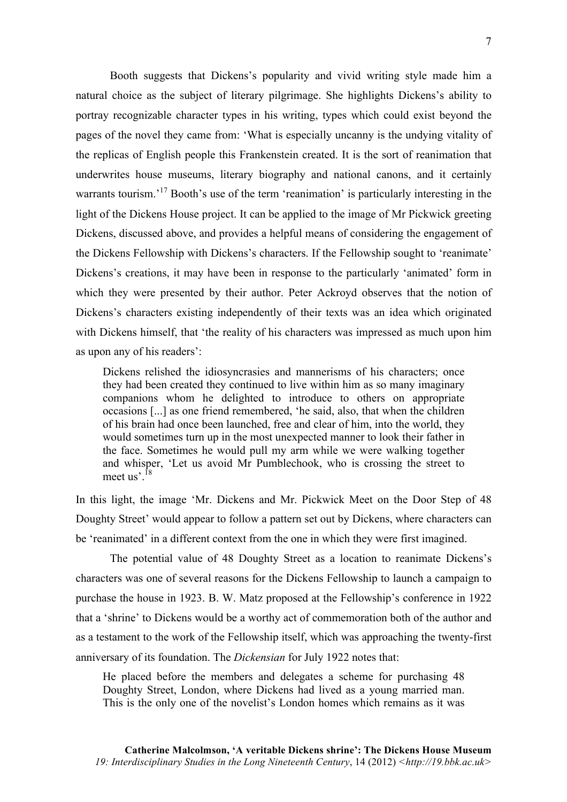Booth suggests that Dickens's popularity and vivid writing style made him a natural choice as the subject of literary pilgrimage. She highlights Dickens's ability to portray recognizable character types in his writing, types which could exist beyond the pages of the novel they came from: 'What is especially uncanny is the undying vitality of the replicas of English people this Frankenstein created. It is the sort of reanimation that underwrites house museums, literary biography and national canons, and it certainly warrants tourism.<sup>17</sup> Booth's use of the term 'reanimation' is particularly interesting in the light of the Dickens House project. It can be applied to the image of Mr Pickwick greeting Dickens, discussed above, and provides a helpful means of considering the engagement of the Dickens Fellowship with Dickens's characters. If the Fellowship sought to 'reanimate' Dickens's creations, it may have been in response to the particularly 'animated' form in which they were presented by their author. Peter Ackroyd observes that the notion of Dickens's characters existing independently of their texts was an idea which originated with Dickens himself, that 'the reality of his characters was impressed as much upon him as upon any of his readers':

Dickens relished the idiosyncrasies and mannerisms of his characters; once they had been created they continued to live within him as so many imaginary companions whom he delighted to introduce to others on appropriate occasions [...] as one friend remembered, 'he said, also, that when the children of his brain had once been launched, free and clear of him, into the world, they would sometimes turn up in the most unexpected manner to look their father in the face. Sometimes he would pull my arm while we were walking together and whisper, 'Let us avoid Mr Pumblechook, who is crossing the street to meet us<sup>'. 18</sup>

In this light, the image 'Mr. Dickens and Mr. Pickwick Meet on the Door Step of 48 Doughty Street' would appear to follow a pattern set out by Dickens, where characters can be 'reanimated' in a different context from the one in which they were first imagined.

The potential value of 48 Doughty Street as a location to reanimate Dickens's characters was one of several reasons for the Dickens Fellowship to launch a campaign to purchase the house in 1923. B. W. Matz proposed at the Fellowship's conference in 1922 that a 'shrine' to Dickens would be a worthy act of commemoration both of the author and as a testament to the work of the Fellowship itself, which was approaching the twenty-first anniversary of its foundation. The *Dickensian* for July 1922 notes that:

He placed before the members and delegates a scheme for purchasing 48 Doughty Street, London, where Dickens had lived as a young married man. This is the only one of the novelist's London homes which remains as it was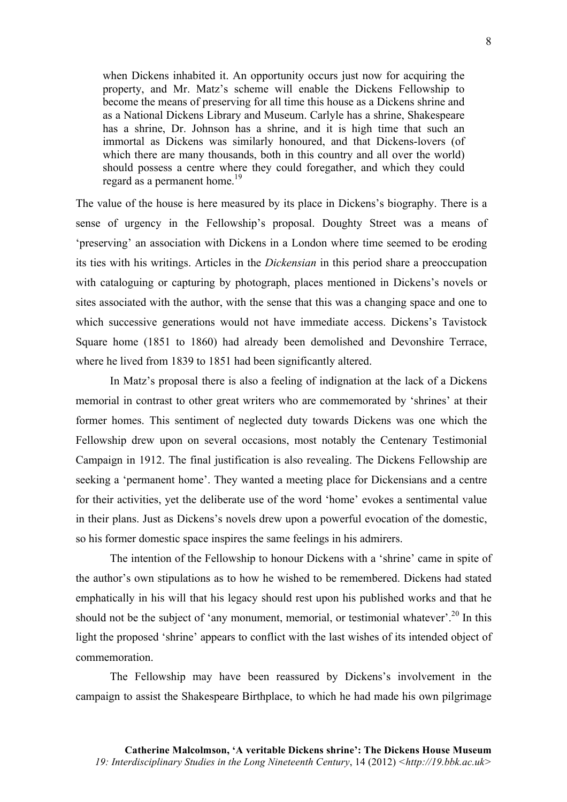when Dickens inhabited it. An opportunity occurs just now for acquiring the property, and Mr. Matz's scheme will enable the Dickens Fellowship to become the means of preserving for all time this house as a Dickens shrine and as a National Dickens Library and Museum. Carlyle has a shrine, Shakespeare has a shrine, Dr. Johnson has a shrine, and it is high time that such an immortal as Dickens was similarly honoured, and that Dickens-lovers (of which there are many thousands, both in this country and all over the world) should possess a centre where they could foregather, and which they could regard as a permanent home.<sup>19</sup>

The value of the house is here measured by its place in Dickens's biography. There is a sense of urgency in the Fellowship's proposal. Doughty Street was a means of 'preserving' an association with Dickens in a London where time seemed to be eroding its ties with his writings. Articles in the *Dickensian* in this period share a preoccupation with cataloguing or capturing by photograph, places mentioned in Dickens's novels or sites associated with the author, with the sense that this was a changing space and one to which successive generations would not have immediate access. Dickens's Tavistock Square home (1851 to 1860) had already been demolished and Devonshire Terrace, where he lived from 1839 to 1851 had been significantly altered.

In Matz's proposal there is also a feeling of indignation at the lack of a Dickens memorial in contrast to other great writers who are commemorated by 'shrines' at their former homes. This sentiment of neglected duty towards Dickens was one which the Fellowship drew upon on several occasions, most notably the Centenary Testimonial Campaign in 1912. The final justification is also revealing. The Dickens Fellowship are seeking a 'permanent home'. They wanted a meeting place for Dickensians and a centre for their activities, yet the deliberate use of the word 'home' evokes a sentimental value in their plans. Just as Dickens's novels drew upon a powerful evocation of the domestic, so his former domestic space inspires the same feelings in his admirers.

The intention of the Fellowship to honour Dickens with a 'shrine' came in spite of the author's own stipulations as to how he wished to be remembered. Dickens had stated emphatically in his will that his legacy should rest upon his published works and that he should not be the subject of 'any monument, memorial, or testimonial whatever'.<sup>20</sup> In this light the proposed 'shrine' appears to conflict with the last wishes of its intended object of commemoration.

The Fellowship may have been reassured by Dickens's involvement in the campaign to assist the Shakespeare Birthplace, to which he had made his own pilgrimage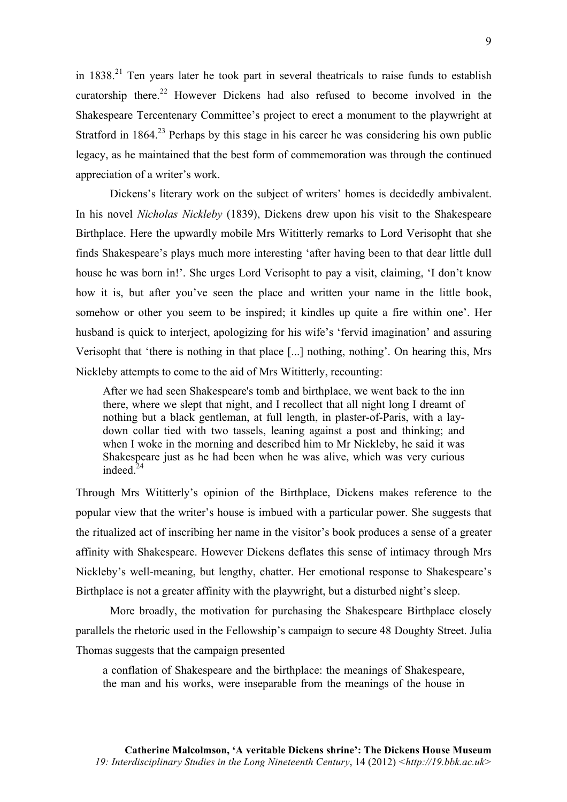in  $1838<sup>21</sup>$  Ten years later he took part in several theatricals to raise funds to establish curatorship there.<sup>22</sup> However Dickens had also refused to become involved in the Shakespeare Tercentenary Committee's project to erect a monument to the playwright at Stratford in 1864.<sup>23</sup> Perhaps by this stage in his career he was considering his own public legacy, as he maintained that the best form of commemoration was through the continued appreciation of a writer's work.

Dickens's literary work on the subject of writers' homes is decidedly ambivalent. In his novel *Nicholas Nickleby* (1839), Dickens drew upon his visit to the Shakespeare Birthplace. Here the upwardly mobile Mrs Wititterly remarks to Lord Verisopht that she finds Shakespeare's plays much more interesting 'after having been to that dear little dull house he was born in!'. She urges Lord Verisopht to pay a visit, claiming, 'I don't know how it is, but after you've seen the place and written your name in the little book, somehow or other you seem to be inspired; it kindles up quite a fire within one'. Her husband is quick to interject, apologizing for his wife's 'fervid imagination' and assuring Verisopht that 'there is nothing in that place [...] nothing, nothing'. On hearing this, Mrs Nickleby attempts to come to the aid of Mrs Wititterly, recounting:

After we had seen Shakespeare's tomb and birthplace, we went back to the inn there, where we slept that night, and I recollect that all night long I dreamt of nothing but a black gentleman, at full length, in plaster-of-Paris, with a laydown collar tied with two tassels, leaning against a post and thinking; and when I woke in the morning and described him to Mr Nickleby, he said it was Shakespeare just as he had been when he was alive, which was very curious indeed  $^{24}$ 

Through Mrs Wititterly's opinion of the Birthplace, Dickens makes reference to the popular view that the writer's house is imbued with a particular power. She suggests that the ritualized act of inscribing her name in the visitor's book produces a sense of a greater affinity with Shakespeare. However Dickens deflates this sense of intimacy through Mrs Nickleby's well-meaning, but lengthy, chatter. Her emotional response to Shakespeare's Birthplace is not a greater affinity with the playwright, but a disturbed night's sleep.

More broadly, the motivation for purchasing the Shakespeare Birthplace closely parallels the rhetoric used in the Fellowship's campaign to secure 48 Doughty Street. Julia Thomas suggests that the campaign presented

a conflation of Shakespeare and the birthplace: the meanings of Shakespeare, the man and his works, were inseparable from the meanings of the house in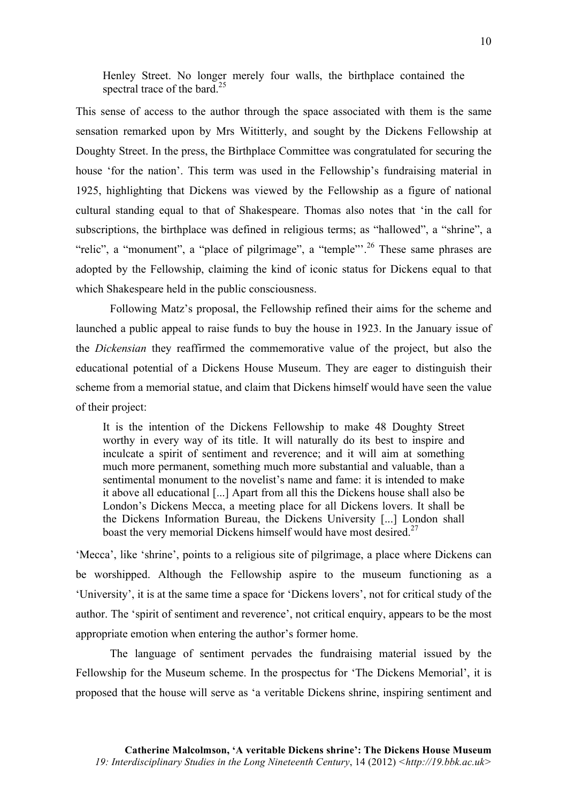Henley Street. No longer merely four walls, the birthplace contained the spectral trace of the bard.<sup>25</sup>

This sense of access to the author through the space associated with them is the same sensation remarked upon by Mrs Wititterly, and sought by the Dickens Fellowship at Doughty Street. In the press, the Birthplace Committee was congratulated for securing the house 'for the nation'. This term was used in the Fellowship's fundraising material in 1925, highlighting that Dickens was viewed by the Fellowship as a figure of national cultural standing equal to that of Shakespeare. Thomas also notes that 'in the call for subscriptions, the birthplace was defined in religious terms; as "hallowed", a "shrine", a "relic", a "monument", a "place of pilgrimage", a "temple"<sup>26</sup> These same phrases are adopted by the Fellowship, claiming the kind of iconic status for Dickens equal to that which Shakespeare held in the public consciousness.

Following Matz's proposal, the Fellowship refined their aims for the scheme and launched a public appeal to raise funds to buy the house in 1923. In the January issue of the *Dickensian* they reaffirmed the commemorative value of the project, but also the educational potential of a Dickens House Museum. They are eager to distinguish their scheme from a memorial statue, and claim that Dickens himself would have seen the value of their project:

It is the intention of the Dickens Fellowship to make 48 Doughty Street worthy in every way of its title. It will naturally do its best to inspire and inculcate a spirit of sentiment and reverence; and it will aim at something much more permanent, something much more substantial and valuable, than a sentimental monument to the novelist's name and fame: it is intended to make it above all educational [...] Apart from all this the Dickens house shall also be London's Dickens Mecca, a meeting place for all Dickens lovers. It shall be the Dickens Information Bureau, the Dickens University [...] London shall boast the very memorial Dickens himself would have most desired.<sup>27</sup>

'Mecca', like 'shrine', points to a religious site of pilgrimage, a place where Dickens can be worshipped. Although the Fellowship aspire to the museum functioning as a 'University', it is at the same time a space for 'Dickens lovers', not for critical study of the author. The 'spirit of sentiment and reverence', not critical enquiry, appears to be the most appropriate emotion when entering the author's former home.

The language of sentiment pervades the fundraising material issued by the Fellowship for the Museum scheme. In the prospectus for 'The Dickens Memorial', it is proposed that the house will serve as 'a veritable Dickens shrine, inspiring sentiment and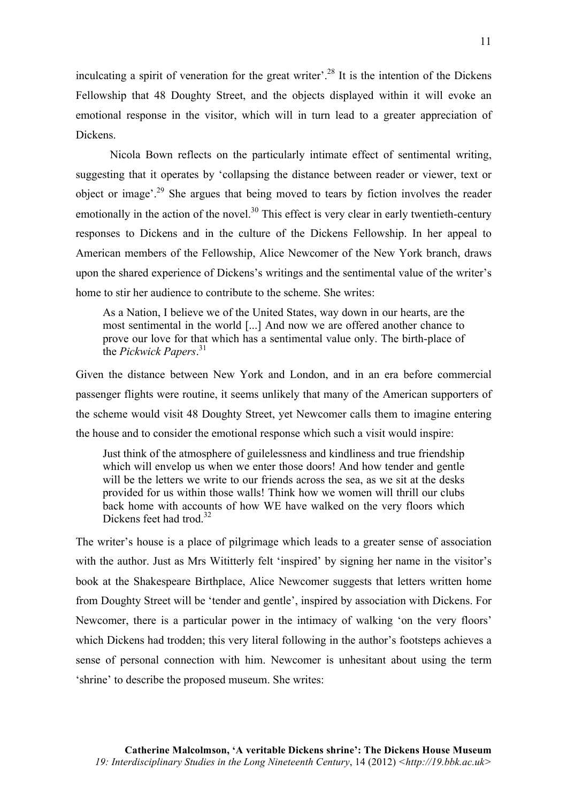inculcating a spirit of veneration for the great writer'.<sup>28</sup> It is the intention of the Dickens Fellowship that 48 Doughty Street, and the objects displayed within it will evoke an emotional response in the visitor, which will in turn lead to a greater appreciation of Dickens.

Nicola Bown reflects on the particularly intimate effect of sentimental writing, suggesting that it operates by 'collapsing the distance between reader or viewer, text or object or image<sup> $29$ </sup>. She argues that being moved to tears by fiction involves the reader emotionally in the action of the novel.<sup>30</sup> This effect is very clear in early twentieth-century responses to Dickens and in the culture of the Dickens Fellowship. In her appeal to American members of the Fellowship, Alice Newcomer of the New York branch, draws upon the shared experience of Dickens's writings and the sentimental value of the writer's home to stir her audience to contribute to the scheme. She writes:

As a Nation, I believe we of the United States, way down in our hearts, are the most sentimental in the world [...] And now we are offered another chance to prove our love for that which has a sentimental value only. The birth-place of the *Pickwick Papers*. 31

Given the distance between New York and London, and in an era before commercial passenger flights were routine, it seems unlikely that many of the American supporters of the scheme would visit 48 Doughty Street, yet Newcomer calls them to imagine entering the house and to consider the emotional response which such a visit would inspire:

Just think of the atmosphere of guilelessness and kindliness and true friendship which will envelop us when we enter those doors! And how tender and gentle will be the letters we write to our friends across the sea, as we sit at the desks provided for us within those walls! Think how we women will thrill our clubs back home with accounts of how WE have walked on the very floors which Dickens feet had trod  $32$ 

The writer's house is a place of pilgrimage which leads to a greater sense of association with the author. Just as Mrs Wititterly felt 'inspired' by signing her name in the visitor's book at the Shakespeare Birthplace, Alice Newcomer suggests that letters written home from Doughty Street will be 'tender and gentle', inspired by association with Dickens. For Newcomer, there is a particular power in the intimacy of walking 'on the very floors' which Dickens had trodden; this very literal following in the author's footsteps achieves a sense of personal connection with him. Newcomer is unhesitant about using the term 'shrine' to describe the proposed museum. She writes: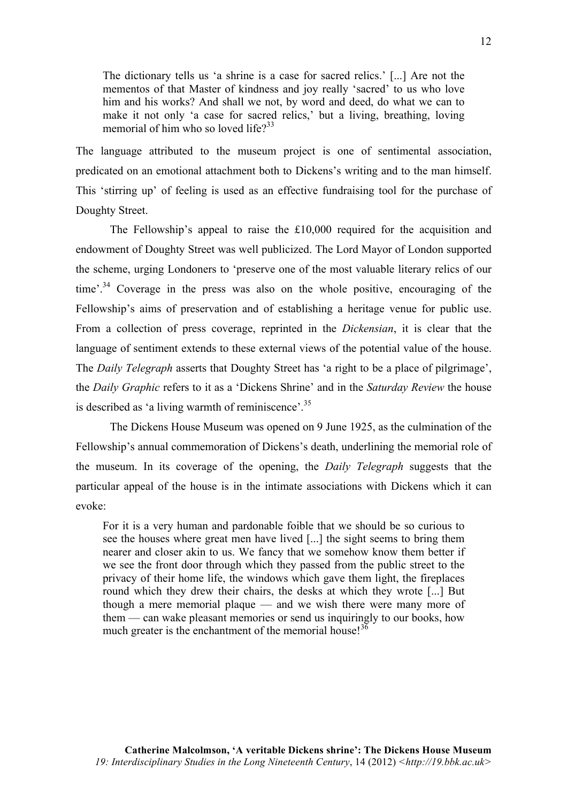The dictionary tells us 'a shrine is a case for sacred relics.' [...] Are not the mementos of that Master of kindness and joy really 'sacred' to us who love him and his works? And shall we not, by word and deed, do what we can to make it not only 'a case for sacred relics,' but a living, breathing, loving memorial of him who so loved life $2^{33}$ 

The language attributed to the museum project is one of sentimental association, predicated on an emotional attachment both to Dickens's writing and to the man himself. This 'stirring up' of feeling is used as an effective fundraising tool for the purchase of Doughty Street.

The Fellowship's appeal to raise the £10,000 required for the acquisition and endowment of Doughty Street was well publicized. The Lord Mayor of London supported the scheme, urging Londoners to 'preserve one of the most valuable literary relics of our time'.<sup>34</sup> Coverage in the press was also on the whole positive, encouraging of the Fellowship's aims of preservation and of establishing a heritage venue for public use. From a collection of press coverage, reprinted in the *Dickensian*, it is clear that the language of sentiment extends to these external views of the potential value of the house. The *Daily Telegraph* asserts that Doughty Street has 'a right to be a place of pilgrimage', the *Daily Graphic* refers to it as a 'Dickens Shrine' and in the *Saturday Review* the house is described as 'a living warmth of reminiscence'.<sup>35</sup>

The Dickens House Museum was opened on 9 June 1925, as the culmination of the Fellowship's annual commemoration of Dickens's death, underlining the memorial role of the museum. In its coverage of the opening, the *Daily Telegraph* suggests that the particular appeal of the house is in the intimate associations with Dickens which it can evoke:

For it is a very human and pardonable foible that we should be so curious to see the houses where great men have lived [...] the sight seems to bring them nearer and closer akin to us. We fancy that we somehow know them better if we see the front door through which they passed from the public street to the privacy of their home life, the windows which gave them light, the fireplaces round which they drew their chairs, the desks at which they wrote [...] But though a mere memorial plaque — and we wish there were many more of them — can wake pleasant memories or send us inquiringly to our books, how much greater is the enchantment of the memorial house!<sup>36</sup>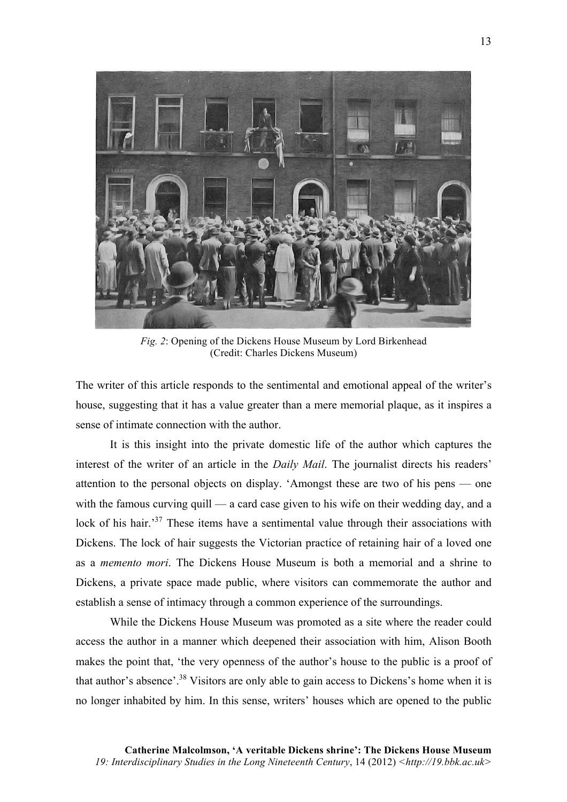

*Fig. 2*: Opening of the Dickens House Museum by Lord Birkenhead (Credit: Charles Dickens Museum)

The writer of this article responds to the sentimental and emotional appeal of the writer's house, suggesting that it has a value greater than a mere memorial plaque, as it inspires a sense of intimate connection with the author.

It is this insight into the private domestic life of the author which captures the interest of the writer of an article in the *Daily Mail*. The journalist directs his readers' attention to the personal objects on display. 'Amongst these are two of his pens — one with the famous curving quill — a card case given to his wife on their wedding day, and a lock of his hair.<sup>37</sup> These items have a sentimental value through their associations with Dickens. The lock of hair suggests the Victorian practice of retaining hair of a loved one as a *memento mori*. The Dickens House Museum is both a memorial and a shrine to Dickens, a private space made public, where visitors can commemorate the author and establish a sense of intimacy through a common experience of the surroundings.

While the Dickens House Museum was promoted as a site where the reader could access the author in a manner which deepened their association with him, Alison Booth makes the point that, 'the very openness of the author's house to the public is a proof of that author's absence'.<sup>38</sup> Visitors are only able to gain access to Dickens's home when it is no longer inhabited by him. In this sense, writers' houses which are opened to the public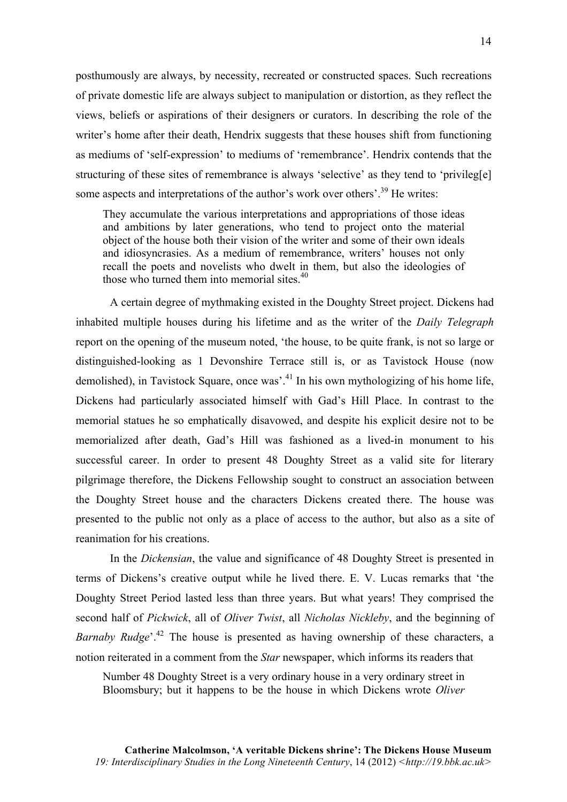posthumously are always, by necessity, recreated or constructed spaces. Such recreations of private domestic life are always subject to manipulation or distortion, as they reflect the views, beliefs or aspirations of their designers or curators. In describing the role of the writer's home after their death, Hendrix suggests that these houses shift from functioning as mediums of 'self-expression' to mediums of 'remembrance'. Hendrix contends that the structuring of these sites of remembrance is always 'selective' as they tend to 'privileg[e] some aspects and interpretations of the author's work over others'.<sup>39</sup> He writes:

They accumulate the various interpretations and appropriations of those ideas and ambitions by later generations, who tend to project onto the material object of the house both their vision of the writer and some of their own ideals and idiosyncrasies. As a medium of remembrance, writers' houses not only recall the poets and novelists who dwelt in them, but also the ideologies of those who turned them into memorial sites.<sup>40</sup>

A certain degree of mythmaking existed in the Doughty Street project. Dickens had inhabited multiple houses during his lifetime and as the writer of the *Daily Telegraph* report on the opening of the museum noted, 'the house, to be quite frank, is not so large or distinguished-looking as 1 Devonshire Terrace still is, or as Tavistock House (now demolished), in Tavistock Square, once was'.<sup>41</sup> In his own mythologizing of his home life, Dickens had particularly associated himself with Gad's Hill Place. In contrast to the memorial statues he so emphatically disavowed, and despite his explicit desire not to be memorialized after death, Gad's Hill was fashioned as a lived-in monument to his successful career. In order to present 48 Doughty Street as a valid site for literary pilgrimage therefore, the Dickens Fellowship sought to construct an association between the Doughty Street house and the characters Dickens created there. The house was presented to the public not only as a place of access to the author, but also as a site of reanimation for his creations.

In the *Dickensian*, the value and significance of 48 Doughty Street is presented in terms of Dickens's creative output while he lived there. E. V. Lucas remarks that 'the Doughty Street Period lasted less than three years. But what years! They comprised the second half of *Pickwick*, all of *Oliver Twist*, all *Nicholas Nickleby*, and the beginning of *Barnaby Rudge*<sup>'', 42</sup> The house is presented as having ownership of these characters, a notion reiterated in a comment from the *Star* newspaper, which informs its readers that

Number 48 Doughty Street is a very ordinary house in a very ordinary street in Bloomsbury; but it happens to be the house in which Dickens wrote *Oliver*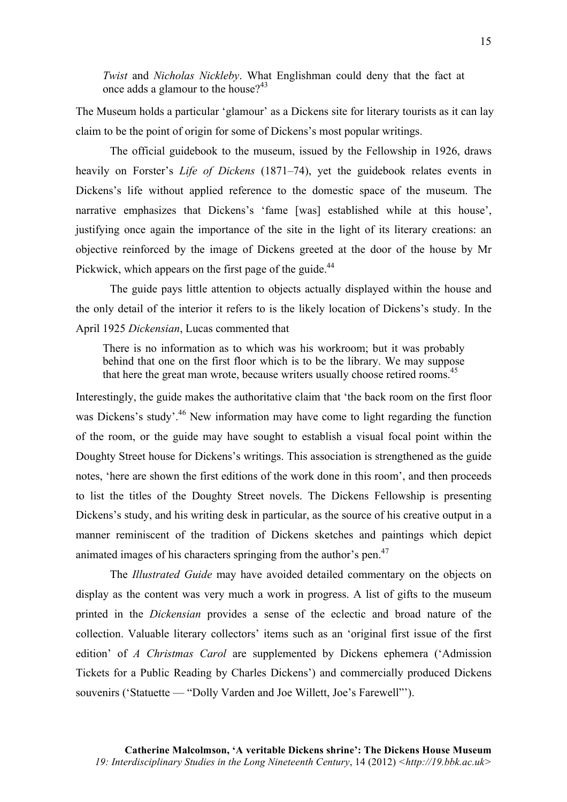*Twist* and *Nicholas Nickleby*. What Englishman could deny that the fact at once adds a glamour to the house? $43$ 

The Museum holds a particular 'glamour' as a Dickens site for literary tourists as it can lay claim to be the point of origin for some of Dickens's most popular writings.

The official guidebook to the museum, issued by the Fellowship in 1926, draws heavily on Forster's *Life of Dickens* (1871–74), yet the guidebook relates events in Dickens's life without applied reference to the domestic space of the museum. The narrative emphasizes that Dickens's 'fame [was] established while at this house', justifying once again the importance of the site in the light of its literary creations: an objective reinforced by the image of Dickens greeted at the door of the house by Mr Pickwick, which appears on the first page of the guide.<sup>44</sup>

The guide pays little attention to objects actually displayed within the house and the only detail of the interior it refers to is the likely location of Dickens's study. In the April 1925 *Dickensian*, Lucas commented that

There is no information as to which was his workroom; but it was probably behind that one on the first floor which is to be the library. We may suppose that here the great man wrote, because writers usually choose retired rooms.<sup>45</sup>

Interestingly, the guide makes the authoritative claim that 'the back room on the first floor was Dickens's study'.<sup>46</sup> New information may have come to light regarding the function of the room, or the guide may have sought to establish a visual focal point within the Doughty Street house for Dickens's writings. This association is strengthened as the guide notes, 'here are shown the first editions of the work done in this room', and then proceeds to list the titles of the Doughty Street novels. The Dickens Fellowship is presenting Dickens's study, and his writing desk in particular, as the source of his creative output in a manner reminiscent of the tradition of Dickens sketches and paintings which depict animated images of his characters springing from the author's pen.<sup>47</sup>

The *Illustrated Guide* may have avoided detailed commentary on the objects on display as the content was very much a work in progress. A list of gifts to the museum printed in the *Dickensian* provides a sense of the eclectic and broad nature of the collection. Valuable literary collectors' items such as an 'original first issue of the first edition' of *A Christmas Carol* are supplemented by Dickens ephemera ('Admission Tickets for a Public Reading by Charles Dickens') and commercially produced Dickens souvenirs ('Statuette — "Dolly Varden and Joe Willett, Joe's Farewell"').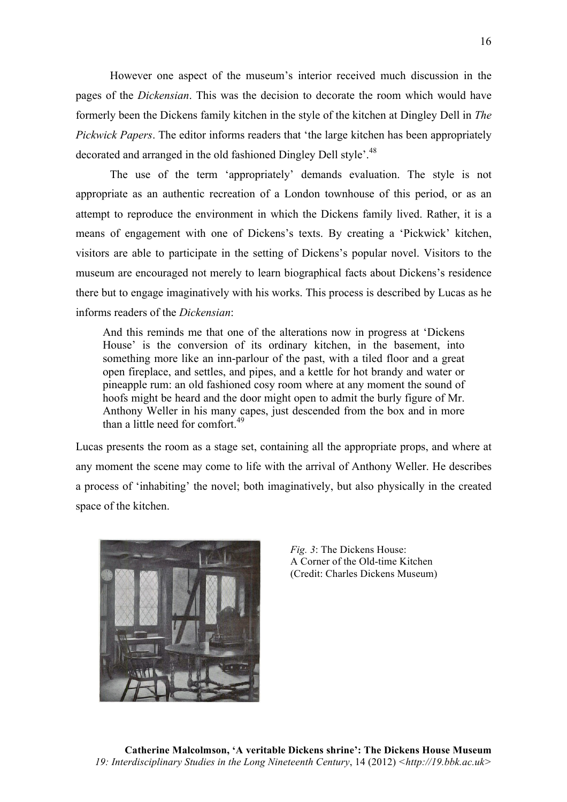However one aspect of the museum's interior received much discussion in the pages of the *Dickensian*. This was the decision to decorate the room which would have formerly been the Dickens family kitchen in the style of the kitchen at Dingley Dell in *The Pickwick Papers*. The editor informs readers that 'the large kitchen has been appropriately decorated and arranged in the old fashioned Dingley Dell style'.<sup>48</sup>

The use of the term 'appropriately' demands evaluation. The style is not appropriate as an authentic recreation of a London townhouse of this period, or as an attempt to reproduce the environment in which the Dickens family lived. Rather, it is a means of engagement with one of Dickens's texts. By creating a 'Pickwick' kitchen, visitors are able to participate in the setting of Dickens's popular novel. Visitors to the museum are encouraged not merely to learn biographical facts about Dickens's residence there but to engage imaginatively with his works. This process is described by Lucas as he informs readers of the *Dickensian*:

And this reminds me that one of the alterations now in progress at 'Dickens House' is the conversion of its ordinary kitchen, in the basement, into something more like an inn-parlour of the past, with a tiled floor and a great open fireplace, and settles, and pipes, and a kettle for hot brandy and water or pineapple rum: an old fashioned cosy room where at any moment the sound of hoofs might be heard and the door might open to admit the burly figure of Mr. Anthony Weller in his many capes, just descended from the box and in more than a little need for comfort.<sup>49</sup>

Lucas presents the room as a stage set, containing all the appropriate props, and where at any moment the scene may come to life with the arrival of Anthony Weller. He describes a process of 'inhabiting' the novel; both imaginatively, but also physically in the created space of the kitchen.



*Fig. 3*: The Dickens House: A Corner of the Old-time Kitchen (Credit: Charles Dickens Museum)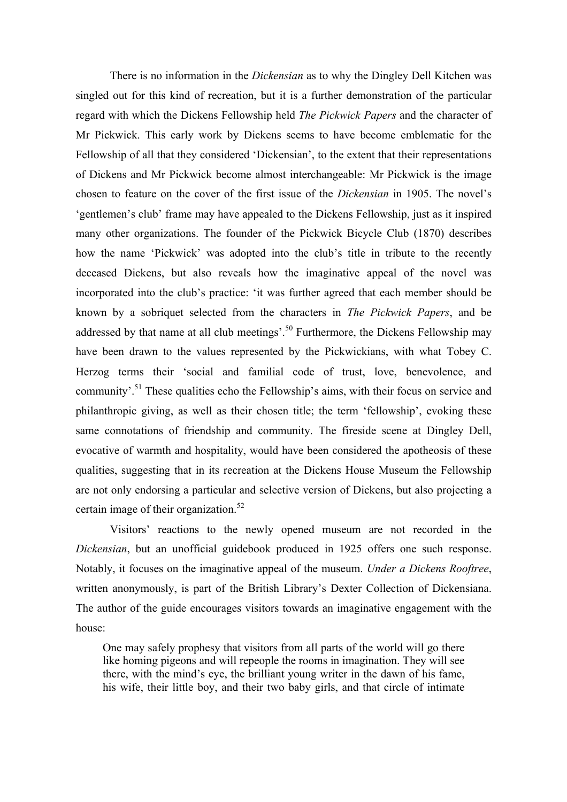There is no information in the *Dickensian* as to why the Dingley Dell Kitchen was singled out for this kind of recreation, but it is a further demonstration of the particular regard with which the Dickens Fellowship held *The Pickwick Papers* and the character of Mr Pickwick. This early work by Dickens seems to have become emblematic for the Fellowship of all that they considered 'Dickensian', to the extent that their representations of Dickens and Mr Pickwick become almost interchangeable: Mr Pickwick is the image chosen to feature on the cover of the first issue of the *Dickensian* in 1905. The novel's 'gentlemen's club' frame may have appealed to the Dickens Fellowship, just as it inspired many other organizations. The founder of the Pickwick Bicycle Club (1870) describes how the name 'Pickwick' was adopted into the club's title in tribute to the recently deceased Dickens, but also reveals how the imaginative appeal of the novel was incorporated into the club's practice: 'it was further agreed that each member should be known by a sobriquet selected from the characters in *The Pickwick Papers*, and be addressed by that name at all club meetings'.<sup>50</sup> Furthermore, the Dickens Fellowship may have been drawn to the values represented by the Pickwickians, with what Tobey C. Herzog terms their 'social and familial code of trust, love, benevolence, and community'.<sup>51</sup> These qualities echo the Fellowship's aims, with their focus on service and philanthropic giving, as well as their chosen title; the term 'fellowship', evoking these same connotations of friendship and community. The fireside scene at Dingley Dell, evocative of warmth and hospitality, would have been considered the apotheosis of these qualities, suggesting that in its recreation at the Dickens House Museum the Fellowship are not only endorsing a particular and selective version of Dickens, but also projecting a certain image of their organization.<sup>52</sup>

Visitors' reactions to the newly opened museum are not recorded in the *Dickensian*, but an unofficial guidebook produced in 1925 offers one such response. Notably, it focuses on the imaginative appeal of the museum. *Under a Dickens Rooftree*, written anonymously, is part of the British Library's Dexter Collection of Dickensiana. The author of the guide encourages visitors towards an imaginative engagement with the house:

One may safely prophesy that visitors from all parts of the world will go there like homing pigeons and will repeople the rooms in imagination. They will see there, with the mind's eye, the brilliant young writer in the dawn of his fame, his wife, their little boy, and their two baby girls, and that circle of intimate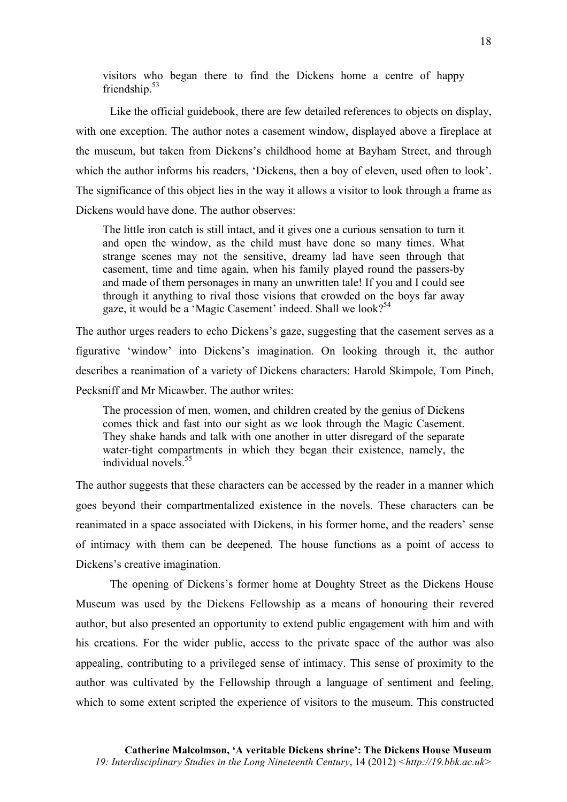visitors who began there to find the Dickens home a centre of happy friendship.<sup>53</sup>

Like the official guidebook, there are few detailed references to objects on display, with one exception. The author notes a casement window, displayed above a fireplace at the museum, but taken from Dickens's childhood home at Bayham Street, and through which the author informs his readers, 'Dickens, then a boy of eleven, used often to look'. The significance of this object lies in the way it allows a visitor to look through a frame as Dickens would have done. The author observes:

The little iron catch is still intact, and it gives one a curious sensation to turn it and open the window, as the child must have done so many times. What strange scenes may not the sensitive, dreamy lad have seen through that casement, time and time again, when his family played round the passers-by and made of them personages in many an unwritten tale! If you and I could see through it anything to rival those visions that crowded on the boys far away gaze, it would be a 'Magic Casement' indeed. Shall we look?<sup>54</sup>

The author urges readers to echo Dickens's gaze, suggesting that the casement serves as a figurative 'window' into Dickens's imagination. On looking through it, the author describes a reanimation of a variety of Dickens characters: Harold Skimpole, Tom Pinch, Pecksniff and Mr Micawber. The author writes:

The procession of men, women, and children created by the genius of Dickens comes thick and fast into our sight as we look through the Magic Casement. They shake hands and talk with one another in utter disregard of the separate water-tight compartments in which they began their existence, namely, the individual novels<sup>55</sup>

The author suggests that these characters can be accessed by the reader in a manner which goes beyond their compartmentalized existence in the novels. These characters can be reanimated in a space associated with Dickens, in his former home, and the readers' sense of intimacy with them can be deepened. The house functions as a point of access to Dickens's creative imagination.

The opening of Dickens's former home at Doughty Street as the Dickens House Museum was used by the Dickens Fellowship as a means of honouring their revered author, but also presented an opportunity to extend public engagement with him and with his creations. For the wider public, access to the private space of the author was also appealing, contributing to a privileged sense of intimacy. This sense of proximity to the author was cultivated by the Fellowship through a language of sentiment and feeling, which to some extent scripted the experience of visitors to the museum. This constructed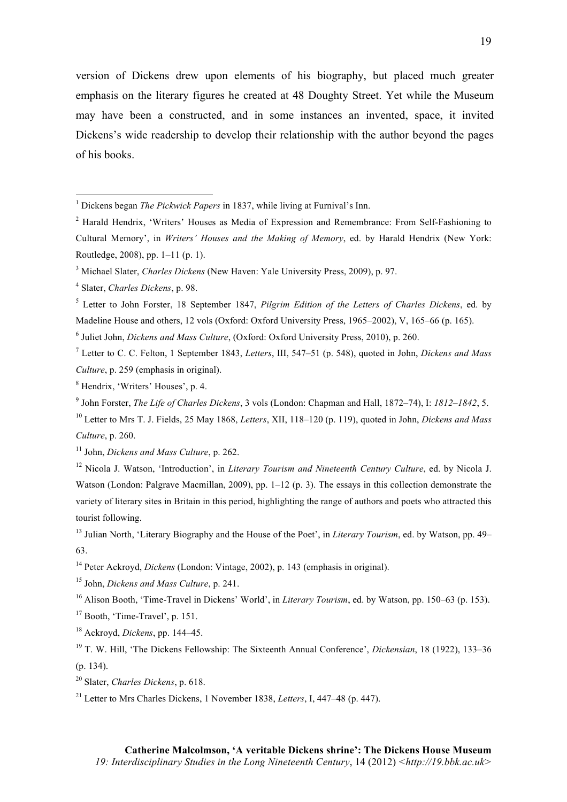version of Dickens drew upon elements of his biography, but placed much greater emphasis on the literary figures he created at 48 Doughty Street. Yet while the Museum may have been a constructed, and in some instances an invented, space, it invited Dickens's wide readership to develop their relationship with the author beyond the pages of his books.

<u> 1989 - Johann Stein, fransk politik (d. 1989)</u>

<sup>5</sup> Letter to John Forster, 18 September 1847, *Pilgrim Edition of the Letters of Charles Dickens*, ed. by Madeline House and others, 12 vols (Oxford: Oxford University Press, 1965–2002), V, 165–66 (p. 165).

<sup>6</sup> Juliet John, *Dickens and Mass Culture*, (Oxford: Oxford University Press, 2010), p. 260.

<sup>7</sup> Letter to C. C. Felton, 1 September 1843, *Letters*, III, 547–51 (p. 548), quoted in John, *Dickens and Mass Culture*, p. 259 (emphasis in original).

<sup>8</sup> Hendrix, 'Writers' Houses', p. 4.

<sup>9</sup> John Forster, *The Life of Charles Dickens*, 3 vols (London: Chapman and Hall, 1872–74), I: *1812–1842*, 5.

<sup>10</sup> Letter to Mrs T. J. Fields, 25 May 1868, *Letters*, XII, 118–120 (p. 119), quoted in John, *Dickens and Mass Culture*, p. 260.

<sup>12</sup> Nicola J. Watson, 'Introduction', in *Literary Tourism and Nineteenth Century Culture*, ed. by Nicola J. Watson (London: Palgrave Macmillan, 2009), pp. 1–12 (p. 3). The essays in this collection demonstrate the variety of literary sites in Britain in this period, highlighting the range of authors and poets who attracted this tourist following.

<sup>13</sup> Julian North, 'Literary Biography and the House of the Poet', in *Literary Tourism*, ed. by Watson, pp. 49– 63.

<sup>14</sup> Peter Ackroyd, *Dickens* (London: Vintage, 2002), p. 143 (emphasis in original).

<sup>15</sup> John, *Dickens and Mass Culture*, p. 241.

<sup>16</sup> Alison Booth, 'Time-Travel in Dickens' World', in *Literary Tourism*, ed. by Watson, pp. 150–63 (p. 153).

 $17$  Booth, 'Time-Travel', p. 151.

<sup>18</sup> Ackroyd, *Dickens*, pp. 144–45.

<sup>19</sup> T. W. Hill, 'The Dickens Fellowship: The Sixteenth Annual Conference', *Dickensian*, 18 (1922), 133–36 (p. 134).

<sup>20</sup> Slater, *Charles Dickens*, p. 618.

<sup>21</sup> Letter to Mrs Charles Dickens, 1 November 1838, *Letters*, J. 447–48 (p. 447).

<sup>1</sup> Dickens began *The Pickwick Papers* in 1837, while living at Furnival's Inn.

 $2$  Harald Hendrix, 'Writers' Houses as Media of Expression and Remembrance: From Self-Fashioning to Cultural Memory', in *Writers' Houses and the Making of Memory*, ed. by Harald Hendrix (New York: Routledge, 2008), pp. 1–11 (p. 1).

<sup>3</sup> Michael Slater, *Charles Dickens* (New Haven: Yale University Press, 2009), p. 97.

<sup>4</sup> Slater, *Charles Dickens*, p. 98.

<sup>11</sup> John, *Dickens and Mass Culture*, p. 262.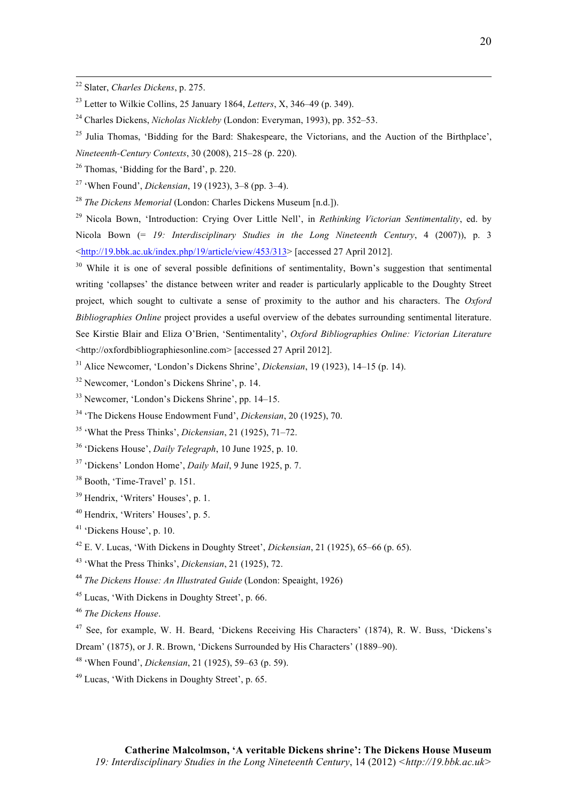Charles Dickens, *Nicholas Nickleby* (London: Everyman, 1993), pp. 352–53.

<u> 2002 - Andrea San Andrea San Andrea San Andrea San Andrea San Andrea San Andrea San Andrea San Andrea San An</u>

Thomas, 'Bidding for the Bard', p. 220.

'When Found', *Dickensian*, 19 (1923), 3–8 (pp. 3–4).

*The Dickens Memorial* (London: Charles Dickens Museum [n.d.]).

 Nicola Bown, 'Introduction: Crying Over Little Nell', in *Rethinking Victorian Sentimentality*, ed. by Nicola Bown (= *19: Interdisciplinary Studies in the Long Nineteenth Century*, 4 (2007)), p. 3 <http://19.bbk.ac.uk/index.php/19/article/view/453/313> [accessed 27 April 2012].

 While it is one of several possible definitions of sentimentality, Bown's suggestion that sentimental writing 'collapses' the distance between writer and reader is particularly applicable to the Doughty Street project, which sought to cultivate a sense of proximity to the author and his characters. The *Oxford Bibliographies Online* project provides a useful overview of the debates surrounding sentimental literature. See Kirstie Blair and Eliza O'Brien, 'Sentimentality', *Oxford Bibliographies Online: Victorian Literature* <http://oxfordbibliographiesonline.com> [accessed 27 April 2012].

- Alice Newcomer, 'London's Dickens Shrine', *Dickensian*, 19 (1923), 14–15 (p. 14).
- Newcomer, 'London's Dickens Shrine', p. 14.
- Newcomer, 'London's Dickens Shrine', pp. 14–15.
- 'The Dickens House Endowment Fund', *Dickensian*, 20 (1925), 70.
- 'What the Press Thinks', *Dickensian*, 21 (1925), 71–72.
- 'Dickens House', *Daily Telegraph*, 10 June 1925, p. 10.
- 'Dickens' London Home', *Daily Mail*, 9 June 1925, p. 7.
- Booth, 'Time-Travel' p. 151.
- Hendrix, 'Writers' Houses', p. 1.
- Hendrix, 'Writers' Houses', p. 5.
- 'Dickens House', p. 10.
- E. V. Lucas, 'With Dickens in Doughty Street', *Dickensian*, 21 (1925), 65–66 (p. 65).
- 'What the Press Thinks', *Dickensian*, 21 (1925), 72.
- *The Dickens House: An Illustrated Guide* (London: Speaight, 1926)
- Lucas, 'With Dickens in Doughty Street', p. 66.

*The Dickens House*.

 See, for example, W. H. Beard, 'Dickens Receiving His Characters' (1874), R. W. Buss, 'Dickens's Dream' (1875), or J. R. Brown, 'Dickens Surrounded by His Characters' (1889–90).

- 'When Found', *Dickensian*, 21 (1925), 59–63 (p. 59).
- Lucas, 'With Dickens in Doughty Street', p. 65.

Slater, *Charles Dickens*, p. 275.

Letter to Wilkie Collins, 25 January 1864, *Letters*, X, 346–49 (p. 349).

<sup>&</sup>lt;sup>25</sup> Julia Thomas, 'Bidding for the Bard: Shakespeare, the Victorians, and the Auction of the Birthplace'. *Nineteenth-Century Contexts*, 30 (2008), 215–28 (p. 220).